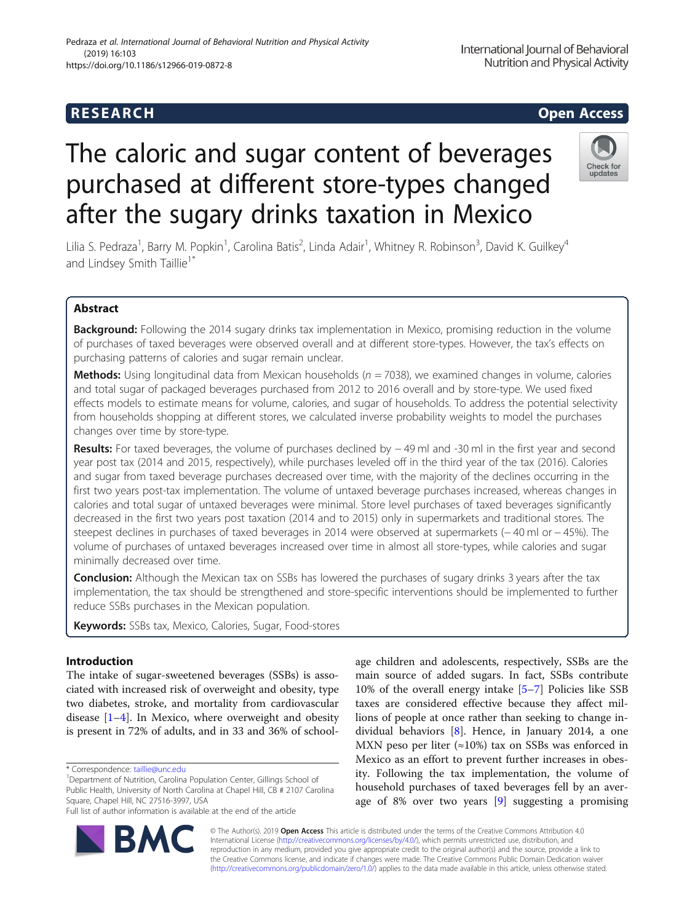# The caloric and sugar content of beverages purchased at different store-types changed after the sugary drinks taxation in Mexico

Lilia S. Pedraza<sup>1</sup>, Barry M. Popkin<sup>1</sup>, Carolina Batis<sup>2</sup>, Linda Adair<sup>1</sup>, Whitney R. Robinson<sup>3</sup>, David K. Guilkey<sup>4</sup> and Lindsey Smith Taillie<sup>1</sup>

# Abstract

Background: Following the 2014 sugary drinks tax implementation in Mexico, promising reduction in the volume of purchases of taxed beverages were observed overall and at different store-types. However, the tax's effects on purchasing patterns of calories and sugar remain unclear.

**Methods:** Using longitudinal data from Mexican households ( $n = 7038$ ), we examined changes in volume, calories and total sugar of packaged beverages purchased from 2012 to 2016 overall and by store-type. We used fixed effects models to estimate means for volume, calories, and sugar of households. To address the potential selectivity from households shopping at different stores, we calculated inverse probability weights to model the purchases changes over time by store-type.

Results: For taxed beverages, the volume of purchases declined by −49 ml and -30 ml in the first year and second year post tax (2014 and 2015, respectively), while purchases leveled off in the third year of the tax (2016). Calories and sugar from taxed beverage purchases decreased over time, with the majority of the declines occurring in the first two years post-tax implementation. The volume of untaxed beverage purchases increased, whereas changes in calories and total sugar of untaxed beverages were minimal. Store level purchases of taxed beverages significantly decreased in the first two years post taxation (2014 and to 2015) only in supermarkets and traditional stores. The steepest declines in purchases of taxed beverages in 2014 were observed at supermarkets (− 40 ml or − 45%). The volume of purchases of untaxed beverages increased over time in almost all store-types, while calories and sugar minimally decreased over time.

**Conclusion:** Although the Mexican tax on SSBs has lowered the purchases of sugary drinks 3 years after the tax implementation, the tax should be strengthened and store-specific interventions should be implemented to further reduce SSBs purchases in the Mexican population.

Keywords: SSBs tax, Mexico, Calories, Sugar, Food-stores

# Introduction

The intake of sugar-sweetened beverages (SSBs) is associated with increased risk of overweight and obesity, type two diabetes, stroke, and mortality from cardiovascular disease [\[1](#page-9-0)–[4\]](#page-9-0). In Mexico, where overweight and obesity is present in 72% of adults, and in 33 and 36% of school-

\* Correspondence: [taillie@unc.edu](mailto:taillie@unc.edu) <sup>1</sup>

R/

<sup>1</sup>Department of Nutrition, Carolina Population Center, Gillings School of Public Health, University of North Carolina at Chapel Hill, CB # 2107 Carolina Square, Chapel Hill, NC 27516-3997, USA

Full list of author information is available at the end of the article

age children and adolescents, respectively, SSBs are the main source of added sugars. In fact, SSBs contribute 10% of the overall energy intake [\[5](#page-9-0)–[7\]](#page-9-0) Policies like SSB taxes are considered effective because they affect millions of people at once rather than seeking to change individual behaviors [\[8](#page-9-0)]. Hence, in January 2014, a one MXN peso per liter ( $\approx$ 10%) tax on SSBs was enforced in Mexico as an effort to prevent further increases in obesity. Following the tax implementation, the volume of household purchases of taxed beverages fell by an average of 8% over two years [\[9](#page-9-0)] suggesting a promising

© The Author(s). 2019 **Open Access** This article is distributed under the terms of the Creative Commons Attribution 4.0 International License [\(http://creativecommons.org/licenses/by/4.0/](http://creativecommons.org/licenses/by/4.0/)), which permits unrestricted use, distribution, and reproduction in any medium, provided you give appropriate credit to the original author(s) and the source, provide a link to the Creative Commons license, and indicate if changes were made. The Creative Commons Public Domain Dedication waiver [\(http://creativecommons.org/publicdomain/zero/1.0/](http://creativecommons.org/publicdomain/zero/1.0/)) applies to the data made available in this article, unless otherwise stated.



International Journal of Behavioral Nutrition and Physical Activity



# Pedraza et al. International Journal of Behavioral Nutrition and Physical Activity (2019) 16:103 https://doi.org/10.1186/s12966-019-0872-8

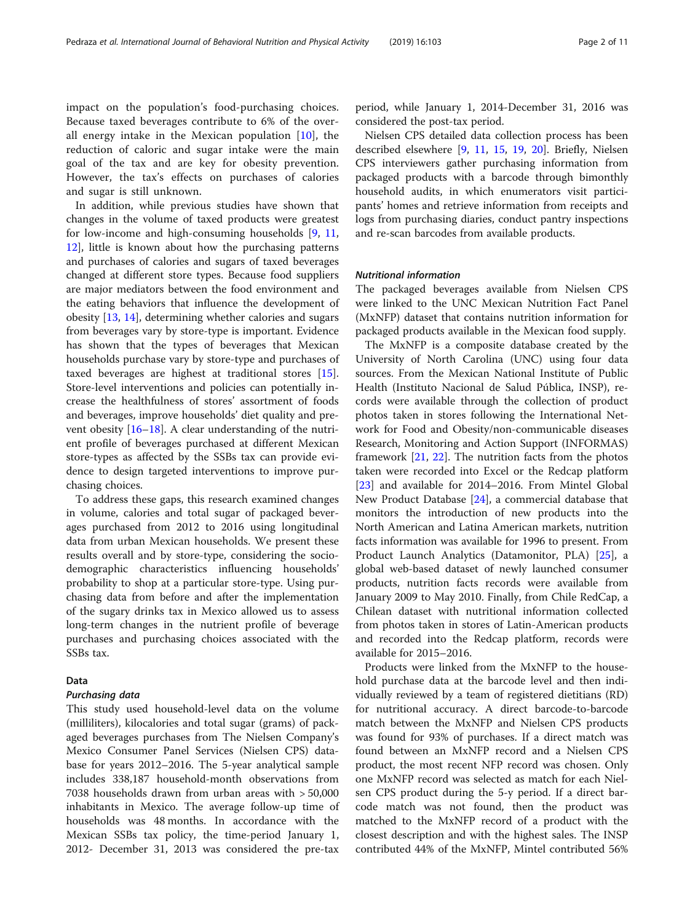impact on the population's food-purchasing choices. Because taxed beverages contribute to 6% of the overall energy intake in the Mexican population [\[10](#page-9-0)], the reduction of caloric and sugar intake were the main goal of the tax and are key for obesity prevention. However, the tax's effects on purchases of calories and sugar is still unknown.

In addition, while previous studies have shown that changes in the volume of taxed products were greatest for low-income and high-consuming households [\[9](#page-9-0), [11](#page-9-0), [12\]](#page-9-0), little is known about how the purchasing patterns and purchases of calories and sugars of taxed beverages changed at different store types. Because food suppliers are major mediators between the food environment and the eating behaviors that influence the development of obesity [\[13](#page-9-0), [14](#page-9-0)], determining whether calories and sugars from beverages vary by store-type is important. Evidence has shown that the types of beverages that Mexican households purchase vary by store-type and purchases of taxed beverages are highest at traditional stores [\[15](#page-9-0)]. Store-level interventions and policies can potentially increase the healthfulness of stores' assortment of foods and beverages, improve households' diet quality and prevent obesity [[16](#page-9-0)–[18](#page-10-0)]. A clear understanding of the nutrient profile of beverages purchased at different Mexican store-types as affected by the SSBs tax can provide evidence to design targeted interventions to improve purchasing choices.

To address these gaps, this research examined changes in volume, calories and total sugar of packaged beverages purchased from 2012 to 2016 using longitudinal data from urban Mexican households. We present these results overall and by store-type, considering the sociodemographic characteristics influencing households' probability to shop at a particular store-type. Using purchasing data from before and after the implementation of the sugary drinks tax in Mexico allowed us to assess long-term changes in the nutrient profile of beverage purchases and purchasing choices associated with the SSBs tax.

# Data

#### Purchasing data

This study used household-level data on the volume (milliliters), kilocalories and total sugar (grams) of packaged beverages purchases from The Nielsen Company's Mexico Consumer Panel Services (Nielsen CPS) database for years 2012–2016. The 5-year analytical sample includes 338,187 household-month observations from 7038 households drawn from urban areas with > 50,000 inhabitants in Mexico. The average follow-up time of households was 48 months. In accordance with the Mexican SSBs tax policy, the time-period January 1, 2012- December 31, 2013 was considered the pre-tax

period, while January 1, 2014-December 31, 2016 was considered the post-tax period.

Nielsen CPS detailed data collection process has been described elsewhere [\[9](#page-9-0), [11](#page-9-0), [15,](#page-9-0) [19](#page-10-0), [20\]](#page-10-0). Briefly, Nielsen CPS interviewers gather purchasing information from packaged products with a barcode through bimonthly household audits, in which enumerators visit participants' homes and retrieve information from receipts and logs from purchasing diaries, conduct pantry inspections and re-scan barcodes from available products.

# Nutritional information

The packaged beverages available from Nielsen CPS were linked to the UNC Mexican Nutrition Fact Panel (MxNFP) dataset that contains nutrition information for packaged products available in the Mexican food supply.

The MxNFP is a composite database created by the University of North Carolina (UNC) using four data sources. From the Mexican National Institute of Public Health (Instituto Nacional de Salud Pública, INSP), records were available through the collection of product photos taken in stores following the International Network for Food and Obesity/non-communicable diseases Research, Monitoring and Action Support (INFORMAS) framework [\[21](#page-10-0), [22\]](#page-10-0). The nutrition facts from the photos taken were recorded into Excel or the Redcap platform [[23\]](#page-10-0) and available for 2014–2016. From Mintel Global New Product Database [\[24](#page-10-0)], a commercial database that monitors the introduction of new products into the North American and Latina American markets, nutrition facts information was available for 1996 to present. From Product Launch Analytics (Datamonitor, PLA) [[25\]](#page-10-0), a global web-based dataset of newly launched consumer products, nutrition facts records were available from January 2009 to May 2010. Finally, from Chile RedCap, a Chilean dataset with nutritional information collected from photos taken in stores of Latin-American products and recorded into the Redcap platform, records were available for 2015–2016.

Products were linked from the MxNFP to the household purchase data at the barcode level and then individually reviewed by a team of registered dietitians (RD) for nutritional accuracy. A direct barcode-to-barcode match between the MxNFP and Nielsen CPS products was found for 93% of purchases. If a direct match was found between an MxNFP record and a Nielsen CPS product, the most recent NFP record was chosen. Only one MxNFP record was selected as match for each Nielsen CPS product during the 5-y period. If a direct barcode match was not found, then the product was matched to the MxNFP record of a product with the closest description and with the highest sales. The INSP contributed 44% of the MxNFP, Mintel contributed 56%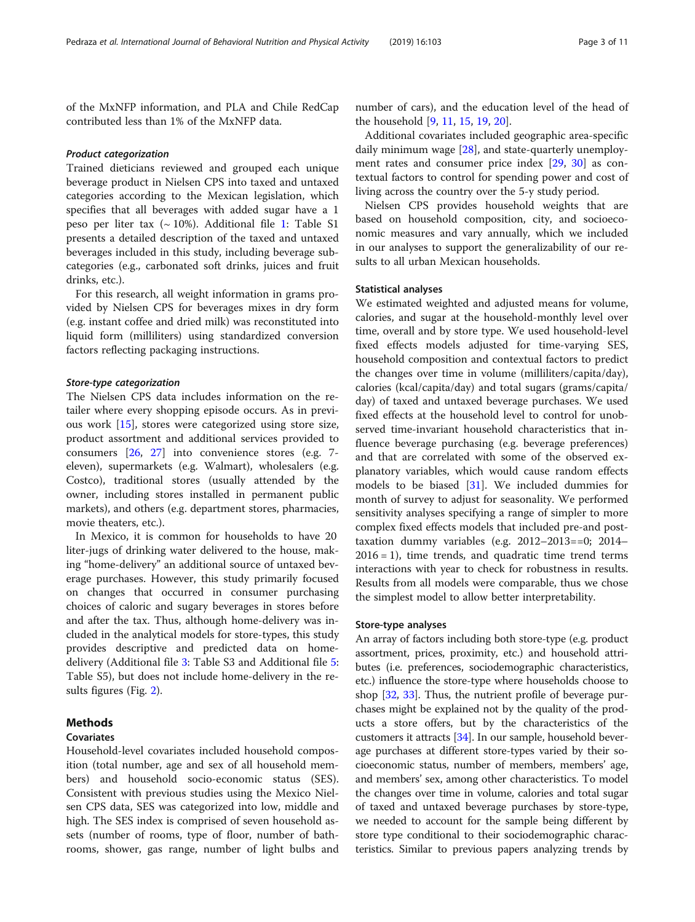of the MxNFP information, and PLA and Chile RedCap contributed less than 1% of the MxNFP data.

# Product categorization

Trained dieticians reviewed and grouped each unique beverage product in Nielsen CPS into taxed and untaxed categories according to the Mexican legislation, which specifies that all beverages with added sugar have a 1 peso per liter tax  $({\sim}10\%)$ . Additional file [1:](#page-9-0) Table S1 presents a detailed description of the taxed and untaxed beverages included in this study, including beverage subcategories (e.g., carbonated soft drinks, juices and fruit drinks, etc.).

For this research, all weight information in grams provided by Nielsen CPS for beverages mixes in dry form (e.g. instant coffee and dried milk) was reconstituted into liquid form (milliliters) using standardized conversion factors reflecting packaging instructions.

# Store-type categorization

The Nielsen CPS data includes information on the retailer where every shopping episode occurs. As in previous work [[15](#page-9-0)], stores were categorized using store size, product assortment and additional services provided to consumers [\[26](#page-10-0), [27\]](#page-10-0) into convenience stores (e.g. 7 eleven), supermarkets (e.g. Walmart), wholesalers (e.g. Costco), traditional stores (usually attended by the owner, including stores installed in permanent public markets), and others (e.g. department stores, pharmacies, movie theaters, etc.).

In Mexico, it is common for households to have 20 liter-jugs of drinking water delivered to the house, making "home-delivery" an additional source of untaxed beverage purchases. However, this study primarily focused on changes that occurred in consumer purchasing choices of caloric and sugary beverages in stores before and after the tax. Thus, although home-delivery was included in the analytical models for store-types, this study provides descriptive and predicted data on homedelivery (Additional file [3:](#page-9-0) Table S3 and Additional file [5](#page-9-0): Table S5), but does not include home-delivery in the results figures (Fig. [2](#page-5-0)).

# Methods

# Covariates

Household-level covariates included household composition (total number, age and sex of all household members) and household socio-economic status (SES). Consistent with previous studies using the Mexico Nielsen CPS data, SES was categorized into low, middle and high. The SES index is comprised of seven household assets (number of rooms, type of floor, number of bathrooms, shower, gas range, number of light bulbs and number of cars), and the education level of the head of the household [[9,](#page-9-0) [11,](#page-9-0) [15](#page-9-0), [19](#page-10-0), [20](#page-10-0)].

Additional covariates included geographic area-specific daily minimum wage [\[28](#page-10-0)], and state-quarterly unemployment rates and consumer price index [\[29](#page-10-0), [30\]](#page-10-0) as contextual factors to control for spending power and cost of living across the country over the 5-y study period.

Nielsen CPS provides household weights that are based on household composition, city, and socioeconomic measures and vary annually, which we included in our analyses to support the generalizability of our results to all urban Mexican households.

# Statistical analyses

We estimated weighted and adjusted means for volume, calories, and sugar at the household-monthly level over time, overall and by store type. We used household-level fixed effects models adjusted for time-varying SES, household composition and contextual factors to predict the changes over time in volume (milliliters/capita/day), calories (kcal/capita/day) and total sugars (grams/capita/ day) of taxed and untaxed beverage purchases. We used fixed effects at the household level to control for unobserved time-invariant household characteristics that influence beverage purchasing (e.g. beverage preferences) and that are correlated with some of the observed explanatory variables, which would cause random effects models to be biased [[31](#page-10-0)]. We included dummies for month of survey to adjust for seasonality. We performed sensitivity analyses specifying a range of simpler to more complex fixed effects models that included pre-and posttaxation dummy variables (e.g. 2012–2013==0; 2014–  $2016 = 1$ ), time trends, and quadratic time trend terms interactions with year to check for robustness in results. Results from all models were comparable, thus we chose the simplest model to allow better interpretability.

# Store-type analyses

An array of factors including both store-type (e.g. product assortment, prices, proximity, etc.) and household attributes (i.e. preferences, sociodemographic characteristics, etc.) influence the store-type where households choose to shop [\[32](#page-10-0), [33](#page-10-0)]. Thus, the nutrient profile of beverage purchases might be explained not by the quality of the products a store offers, but by the characteristics of the customers it attracts [[34](#page-10-0)]. In our sample, household beverage purchases at different store-types varied by their socioeconomic status, number of members, members' age, and members' sex, among other characteristics. To model the changes over time in volume, calories and total sugar of taxed and untaxed beverage purchases by store-type, we needed to account for the sample being different by store type conditional to their sociodemographic characteristics. Similar to previous papers analyzing trends by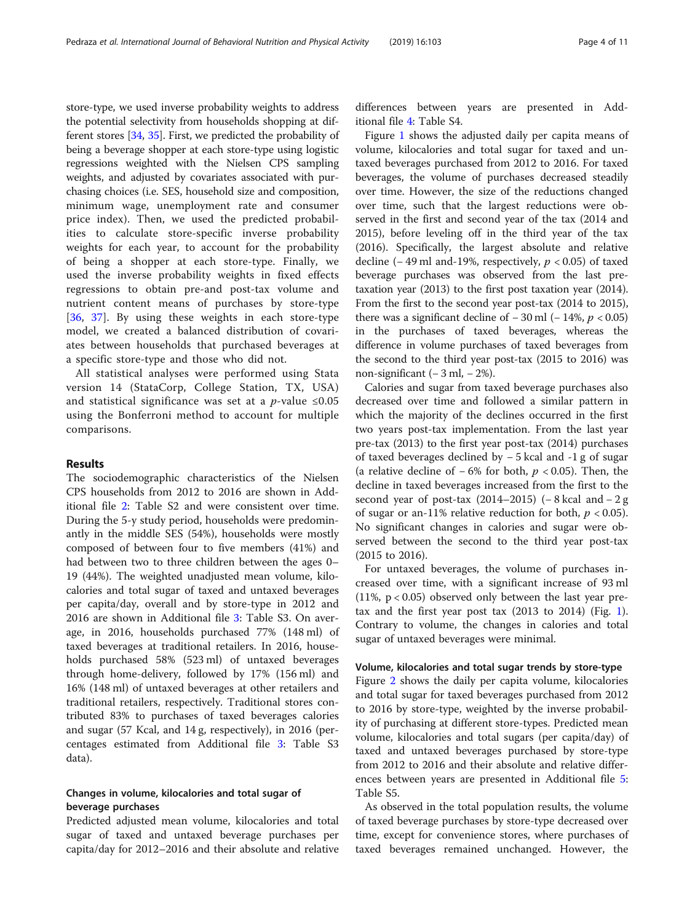store-type, we used inverse probability weights to address the potential selectivity from households shopping at different stores [\[34,](#page-10-0) [35](#page-10-0)]. First, we predicted the probability of being a beverage shopper at each store-type using logistic regressions weighted with the Nielsen CPS sampling weights, and adjusted by covariates associated with purchasing choices (i.e. SES, household size and composition, minimum wage, unemployment rate and consumer price index). Then, we used the predicted probabilities to calculate store-specific inverse probability weights for each year, to account for the probability of being a shopper at each store-type. Finally, we used the inverse probability weights in fixed effects regressions to obtain pre-and post-tax volume and nutrient content means of purchases by store-type [[36,](#page-10-0) [37](#page-10-0)]. By using these weights in each store-type model, we created a balanced distribution of covariates between households that purchased beverages at a specific store-type and those who did not.

All statistical analyses were performed using Stata version 14 (StataCorp, College Station, TX, USA) and statistical significance was set at a *p*-value  $\leq 0.05$ using the Bonferroni method to account for multiple comparisons.

# Results

The sociodemographic characteristics of the Nielsen CPS households from 2012 to 2016 are shown in Additional file [2](#page-9-0): Table S2 and were consistent over time. During the 5-y study period, households were predominantly in the middle SES (54%), households were mostly composed of between four to five members (41%) and had between two to three children between the ages 0– 19 (44%). The weighted unadjusted mean volume, kilocalories and total sugar of taxed and untaxed beverages per capita/day, overall and by store-type in 2012 and 2016 are shown in Additional file [3](#page-9-0): Table S3. On average, in 2016, households purchased 77% (148 ml) of taxed beverages at traditional retailers. In 2016, households purchased 58% (523 ml) of untaxed beverages through home-delivery, followed by 17% (156 ml) and 16% (148 ml) of untaxed beverages at other retailers and traditional retailers, respectively. Traditional stores contributed 83% to purchases of taxed beverages calories and sugar (57 Kcal, and 14 g, respectively), in 2016 (percentages estimated from Additional file [3:](#page-9-0) Table S3 data).

# Changes in volume, kilocalories and total sugar of beverage purchases

Predicted adjusted mean volume, kilocalories and total sugar of taxed and untaxed beverage purchases per capita/day for 2012–2016 and their absolute and relative

differences between years are presented in Additional file [4:](#page-9-0) Table S4.

Figure [1](#page-5-0) shows the adjusted daily per capita means of volume, kilocalories and total sugar for taxed and untaxed beverages purchased from 2012 to 2016. For taxed beverages, the volume of purchases decreased steadily over time. However, the size of the reductions changed over time, such that the largest reductions were observed in the first and second year of the tax (2014 and 2015), before leveling off in the third year of the tax (2016). Specifically, the largest absolute and relative decline (− 49 ml and-19%, respectively,  $p$  < 0.05) of taxed beverage purchases was observed from the last pretaxation year (2013) to the first post taxation year (2014). From the first to the second year post-tax (2014 to 2015), there was a significant decline of  $-30$  ml ( $-14\%$ ,  $p < 0.05$ ) in the purchases of taxed beverages, whereas the difference in volume purchases of taxed beverages from the second to the third year post-tax (2015 to 2016) was non-significant  $(-3 \text{ ml}, -2\%)$ .

Calories and sugar from taxed beverage purchases also decreased over time and followed a similar pattern in which the majority of the declines occurred in the first two years post-tax implementation. From the last year pre-tax (2013) to the first year post-tax (2014) purchases of taxed beverages declined by − 5 kcal and -1 g of sugar (a relative decline of  $-6\%$  for both,  $p < 0.05$ ). Then, the decline in taxed beverages increased from the first to the second year of post-tax  $(2014–2015)$  (−8 kcal and −2 g of sugar or an-11% relative reduction for both,  $p < 0.05$ ). No significant changes in calories and sugar were observed between the second to the third year post-tax (2015 to 2016).

For untaxed beverages, the volume of purchases increased over time, with a significant increase of 93 ml (11%,  $p < 0.05$ ) observed only between the last year pretax and the first year post tax  $(2013$  $(2013$  $(2013$  to  $2014)$  (Fig. 1). Contrary to volume, the changes in calories and total sugar of untaxed beverages were minimal.

### Volume, kilocalories and total sugar trends by store-type

Figure [2](#page-5-0) shows the daily per capita volume, kilocalories and total sugar for taxed beverages purchased from 2012 to 2016 by store-type, weighted by the inverse probability of purchasing at different store-types. Predicted mean volume, kilocalories and total sugars (per capita/day) of taxed and untaxed beverages purchased by store-type from 2012 to 2016 and their absolute and relative differences between years are presented in Additional file [5](#page-9-0): Table S5.

As observed in the total population results, the volume of taxed beverage purchases by store-type decreased over time, except for convenience stores, where purchases of taxed beverages remained unchanged. However, the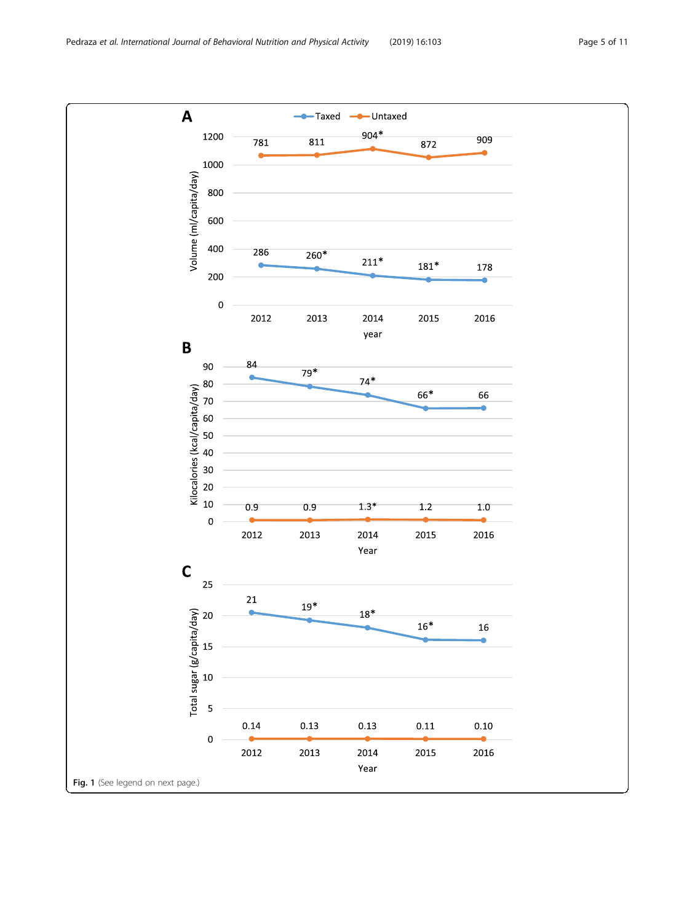Pedraza et al. International Journal of Behavioral Nutrition and Physical Activity (2019) 16:103 Page 5 of 11

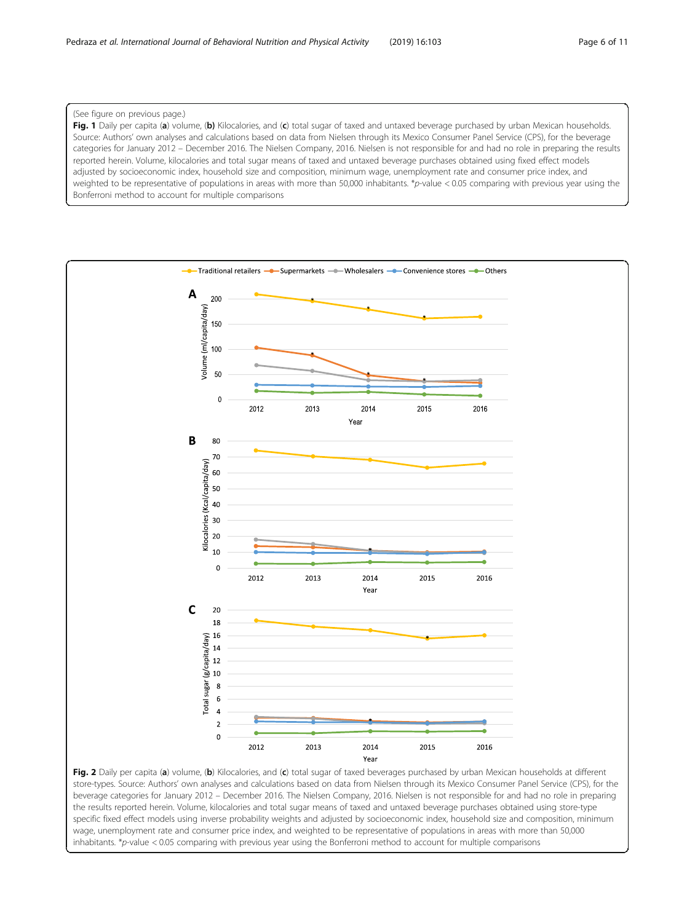# <span id="page-5-0"></span>(See figure on previous page.)

Fig. 1 Daily per capita (a) volume, (b) Kilocalories, and (c) total sugar of taxed and untaxed beverage purchased by urban Mexican households. Source: Authors' own analyses and calculations based on data from Nielsen through its Mexico Consumer Panel Service (CPS), for the beverage categories for January 2012 – December 2016. The Nielsen Company, 2016. Nielsen is not responsible for and had no role in preparing the results reported herein. Volume, kilocalories and total sugar means of taxed and untaxed beverage purchases obtained using fixed effect models adjusted by socioeconomic index, household size and composition, minimum wage, unemployment rate and consumer price index, and weighted to be representative of populations in areas with more than 50,000 inhabitants. \*p-value < 0.05 comparing with previous year using the Bonferroni method to account for multiple comparisons



Fig. 2 Daily per capita (a) volume, (b) Kilocalories, and (c) total sugar of taxed beverages purchased by urban Mexican households at different store-types. Source: Authors' own analyses and calculations based on data from Nielsen through its Mexico Consumer Panel Service (CPS), for the beverage categories for January 2012 – December 2016. The Nielsen Company, 2016. Nielsen is not responsible for and had no role in preparing the results reported herein. Volume, kilocalories and total sugar means of taxed and untaxed beverage purchases obtained using store-type specific fixed effect models using inverse probability weights and adjusted by socioeconomic index, household size and composition, minimum wage, unemployment rate and consumer price index, and weighted to be representative of populations in areas with more than 50,000 inhabitants.  $*_{p}$ -value < 0.05 comparing with previous year using the Bonferroni method to account for multiple comparisons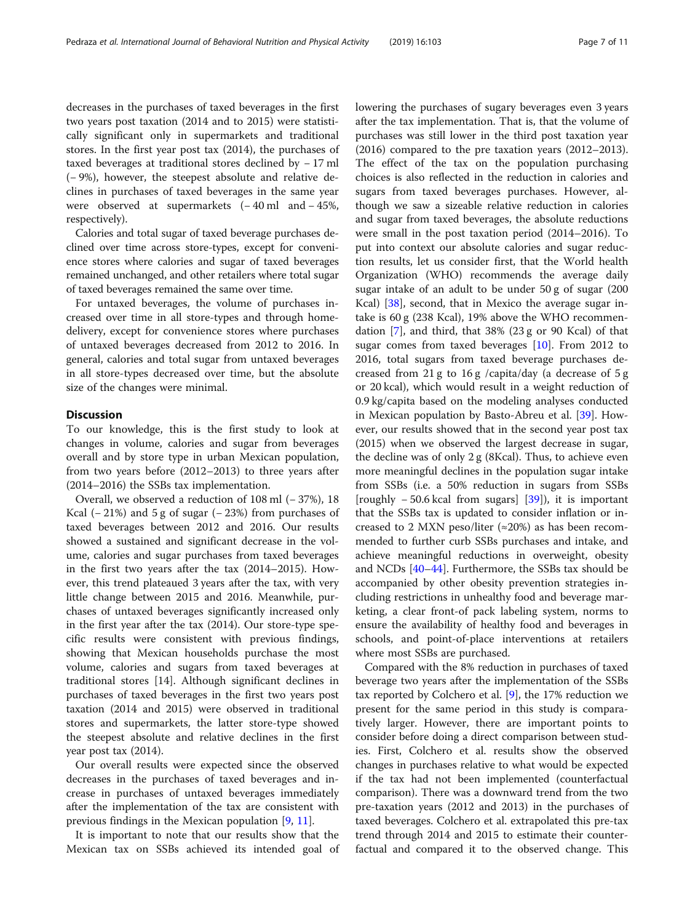decreases in the purchases of taxed beverages in the first two years post taxation (2014 and to 2015) were statistically significant only in supermarkets and traditional stores. In the first year post tax (2014), the purchases of taxed beverages at traditional stores declined by − 17 ml (− 9%), however, the steepest absolute and relative declines in purchases of taxed beverages in the same year were observed at supermarkets (− 40 ml and − 45%, respectively).

Calories and total sugar of taxed beverage purchases declined over time across store-types, except for convenience stores where calories and sugar of taxed beverages remained unchanged, and other retailers where total sugar of taxed beverages remained the same over time.

For untaxed beverages, the volume of purchases increased over time in all store-types and through homedelivery, except for convenience stores where purchases of untaxed beverages decreased from 2012 to 2016. In general, calories and total sugar from untaxed beverages in all store-types decreased over time, but the absolute size of the changes were minimal.

# **Discussion**

To our knowledge, this is the first study to look at changes in volume, calories and sugar from beverages overall and by store type in urban Mexican population, from two years before (2012–2013) to three years after (2014–2016) the SSBs tax implementation.

Overall, we observed a reduction of 108 ml (− 37%), 18 Kcal ( $- 21\%$ ) and 5 g of sugar ( $- 23\%$ ) from purchases of taxed beverages between 2012 and 2016. Our results showed a sustained and significant decrease in the volume, calories and sugar purchases from taxed beverages in the first two years after the tax (2014–2015). However, this trend plateaued 3 years after the tax, with very little change between 2015 and 2016. Meanwhile, purchases of untaxed beverages significantly increased only in the first year after the tax (2014). Our store-type specific results were consistent with previous findings, showing that Mexican households purchase the most volume, calories and sugars from taxed beverages at traditional stores [14]. Although significant declines in purchases of taxed beverages in the first two years post taxation (2014 and 2015) were observed in traditional stores and supermarkets, the latter store-type showed the steepest absolute and relative declines in the first year post tax (2014).

Our overall results were expected since the observed decreases in the purchases of taxed beverages and increase in purchases of untaxed beverages immediately after the implementation of the tax are consistent with previous findings in the Mexican population [[9,](#page-9-0) [11](#page-9-0)].

It is important to note that our results show that the Mexican tax on SSBs achieved its intended goal of lowering the purchases of sugary beverages even 3 years after the tax implementation. That is, that the volume of purchases was still lower in the third post taxation year (2016) compared to the pre taxation years (2012–2013). The effect of the tax on the population purchasing choices is also reflected in the reduction in calories and sugars from taxed beverages purchases. However, although we saw a sizeable relative reduction in calories and sugar from taxed beverages, the absolute reductions were small in the post taxation period (2014–2016). To put into context our absolute calories and sugar reduction results, let us consider first, that the World health Organization (WHO) recommends the average daily sugar intake of an adult to be under 50 g of sugar (200 Kcal) [[38](#page-10-0)], second, that in Mexico the average sugar intake is 60 g (238 Kcal), 19% above the WHO recommendation [[7](#page-9-0)], and third, that 38% (23 g or 90 Kcal) of that sugar comes from taxed beverages [[10\]](#page-9-0). From 2012 to 2016, total sugars from taxed beverage purchases decreased from 21 g to 16 g /capita/day (a decrease of 5 g or 20 kcal), which would result in a weight reduction of 0.9 kg/capita based on the modeling analyses conducted in Mexican population by Basto-Abreu et al. [[39\]](#page-10-0). However, our results showed that in the second year post tax (2015) when we observed the largest decrease in sugar, the decline was of only 2 g (8Kcal). Thus, to achieve even more meaningful declines in the population sugar intake from SSBs (i.e. a 50% reduction in sugars from SSBs [roughly  $-50.6$  kcal from sugars] [[39\]](#page-10-0)), it is important that the SSBs tax is updated to consider inflation or increased to 2 MXN peso/liter ( $\approx$ 20%) as has been recommended to further curb SSBs purchases and intake, and achieve meaningful reductions in overweight, obesity and NCDs [[40](#page-10-0)–[44\]](#page-10-0). Furthermore, the SSBs tax should be accompanied by other obesity prevention strategies including restrictions in unhealthy food and beverage marketing, a clear front-of pack labeling system, norms to ensure the availability of healthy food and beverages in schools, and point-of-place interventions at retailers where most SSBs are purchased.

Compared with the 8% reduction in purchases of taxed beverage two years after the implementation of the SSBs tax reported by Colchero et al.  $[9]$  $[9]$ , the 17% reduction we present for the same period in this study is comparatively larger. However, there are important points to consider before doing a direct comparison between studies. First, Colchero et al. results show the observed changes in purchases relative to what would be expected if the tax had not been implemented (counterfactual comparison). There was a downward trend from the two pre-taxation years (2012 and 2013) in the purchases of taxed beverages. Colchero et al. extrapolated this pre-tax trend through 2014 and 2015 to estimate their counterfactual and compared it to the observed change. This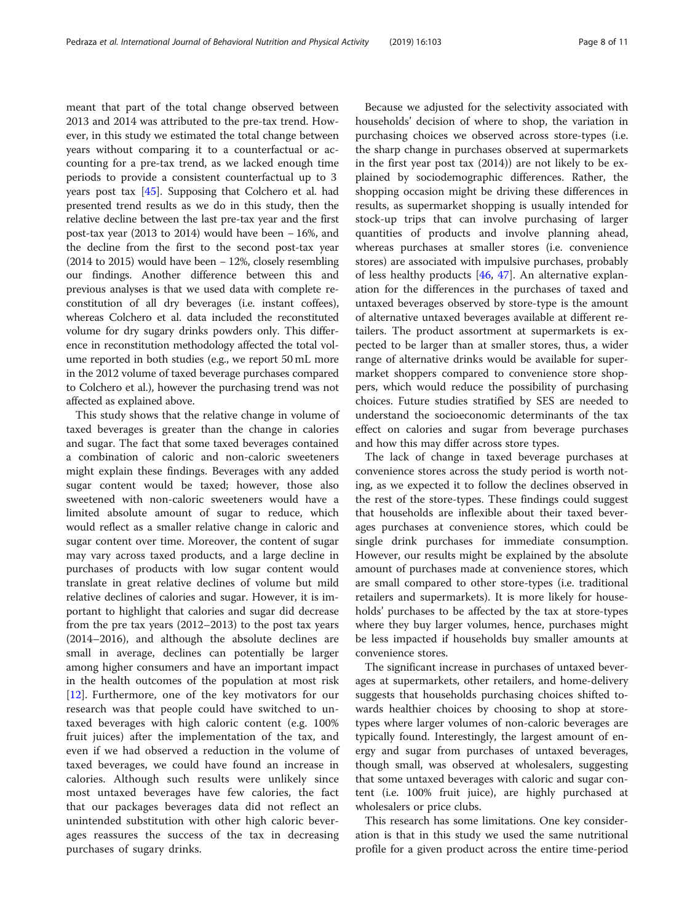meant that part of the total change observed between 2013 and 2014 was attributed to the pre-tax trend. However, in this study we estimated the total change between years without comparing it to a counterfactual or accounting for a pre-tax trend, as we lacked enough time periods to provide a consistent counterfactual up to 3 years post tax [\[45](#page-10-0)]. Supposing that Colchero et al. had presented trend results as we do in this study, then the relative decline between the last pre-tax year and the first post-tax year (2013 to 2014) would have been − 16%, and the decline from the first to the second post-tax year (2014 to 2015) would have been − 12%, closely resembling our findings. Another difference between this and previous analyses is that we used data with complete reconstitution of all dry beverages (i.e. instant coffees), whereas Colchero et al. data included the reconstituted volume for dry sugary drinks powders only. This difference in reconstitution methodology affected the total volume reported in both studies (e.g., we report 50 mL more in the 2012 volume of taxed beverage purchases compared to Colchero et al.), however the purchasing trend was not affected as explained above.

This study shows that the relative change in volume of taxed beverages is greater than the change in calories and sugar. The fact that some taxed beverages contained a combination of caloric and non-caloric sweeteners might explain these findings. Beverages with any added sugar content would be taxed; however, those also sweetened with non-caloric sweeteners would have a limited absolute amount of sugar to reduce, which would reflect as a smaller relative change in caloric and sugar content over time. Moreover, the content of sugar may vary across taxed products, and a large decline in purchases of products with low sugar content would translate in great relative declines of volume but mild relative declines of calories and sugar. However, it is important to highlight that calories and sugar did decrease from the pre tax years (2012–2013) to the post tax years (2014–2016), and although the absolute declines are small in average, declines can potentially be larger among higher consumers and have an important impact in the health outcomes of the population at most risk [[12\]](#page-9-0). Furthermore, one of the key motivators for our research was that people could have switched to untaxed beverages with high caloric content (e.g. 100% fruit juices) after the implementation of the tax, and even if we had observed a reduction in the volume of taxed beverages, we could have found an increase in calories. Although such results were unlikely since most untaxed beverages have few calories, the fact that our packages beverages data did not reflect an unintended substitution with other high caloric beverages reassures the success of the tax in decreasing purchases of sugary drinks.

Because we adjusted for the selectivity associated with households' decision of where to shop, the variation in purchasing choices we observed across store-types (i.e. the sharp change in purchases observed at supermarkets in the first year post tax (2014)) are not likely to be explained by sociodemographic differences. Rather, the shopping occasion might be driving these differences in results, as supermarket shopping is usually intended for stock-up trips that can involve purchasing of larger quantities of products and involve planning ahead, whereas purchases at smaller stores (i.e. convenience stores) are associated with impulsive purchases, probably of less healthy products  $[46, 47]$  $[46, 47]$  $[46, 47]$  $[46, 47]$ . An alternative explanation for the differences in the purchases of taxed and untaxed beverages observed by store-type is the amount of alternative untaxed beverages available at different retailers. The product assortment at supermarkets is expected to be larger than at smaller stores, thus, a wider range of alternative drinks would be available for supermarket shoppers compared to convenience store shoppers, which would reduce the possibility of purchasing choices. Future studies stratified by SES are needed to understand the socioeconomic determinants of the tax effect on calories and sugar from beverage purchases and how this may differ across store types.

The lack of change in taxed beverage purchases at convenience stores across the study period is worth noting, as we expected it to follow the declines observed in the rest of the store-types. These findings could suggest that households are inflexible about their taxed beverages purchases at convenience stores, which could be single drink purchases for immediate consumption. However, our results might be explained by the absolute amount of purchases made at convenience stores, which are small compared to other store-types (i.e. traditional retailers and supermarkets). It is more likely for households' purchases to be affected by the tax at store-types where they buy larger volumes, hence, purchases might be less impacted if households buy smaller amounts at convenience stores.

The significant increase in purchases of untaxed beverages at supermarkets, other retailers, and home-delivery suggests that households purchasing choices shifted towards healthier choices by choosing to shop at storetypes where larger volumes of non-caloric beverages are typically found. Interestingly, the largest amount of energy and sugar from purchases of untaxed beverages, though small, was observed at wholesalers, suggesting that some untaxed beverages with caloric and sugar content (i.e. 100% fruit juice), are highly purchased at wholesalers or price clubs.

This research has some limitations. One key consideration is that in this study we used the same nutritional profile for a given product across the entire time-period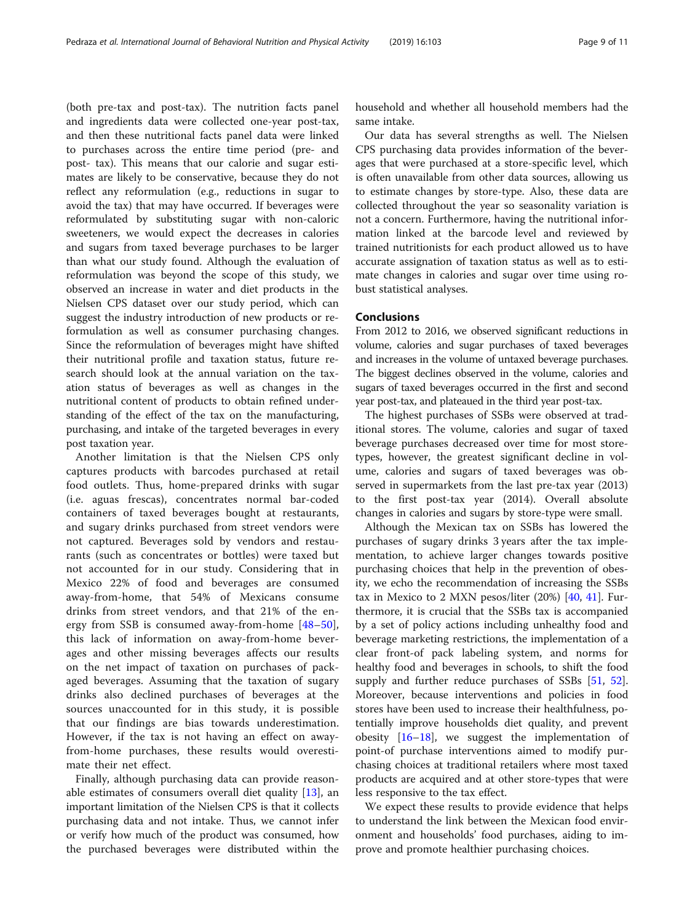(both pre-tax and post-tax). The nutrition facts panel and ingredients data were collected one-year post-tax, and then these nutritional facts panel data were linked to purchases across the entire time period (pre- and post- tax). This means that our calorie and sugar estimates are likely to be conservative, because they do not reflect any reformulation (e.g., reductions in sugar to avoid the tax) that may have occurred. If beverages were reformulated by substituting sugar with non-caloric sweeteners, we would expect the decreases in calories and sugars from taxed beverage purchases to be larger than what our study found. Although the evaluation of reformulation was beyond the scope of this study, we observed an increase in water and diet products in the Nielsen CPS dataset over our study period, which can suggest the industry introduction of new products or reformulation as well as consumer purchasing changes. Since the reformulation of beverages might have shifted their nutritional profile and taxation status, future research should look at the annual variation on the taxation status of beverages as well as changes in the nutritional content of products to obtain refined understanding of the effect of the tax on the manufacturing, purchasing, and intake of the targeted beverages in every

post taxation year. Another limitation is that the Nielsen CPS only captures products with barcodes purchased at retail food outlets. Thus, home-prepared drinks with sugar (i.e. aguas frescas), concentrates normal bar-coded containers of taxed beverages bought at restaurants, and sugary drinks purchased from street vendors were not captured. Beverages sold by vendors and restaurants (such as concentrates or bottles) were taxed but not accounted for in our study. Considering that in Mexico 22% of food and beverages are consumed away-from-home, that 54% of Mexicans consume drinks from street vendors, and that 21% of the energy from SSB is consumed away-from-home [[48](#page-10-0)–[50](#page-10-0)], this lack of information on away-from-home beverages and other missing beverages affects our results on the net impact of taxation on purchases of packaged beverages. Assuming that the taxation of sugary drinks also declined purchases of beverages at the sources unaccounted for in this study, it is possible that our findings are bias towards underestimation. However, if the tax is not having an effect on awayfrom-home purchases, these results would overestimate their net effect.

Finally, although purchasing data can provide reasonable estimates of consumers overall diet quality [[13\]](#page-9-0), an important limitation of the Nielsen CPS is that it collects purchasing data and not intake. Thus, we cannot infer or verify how much of the product was consumed, how the purchased beverages were distributed within the household and whether all household members had the same intake.

Our data has several strengths as well. The Nielsen CPS purchasing data provides information of the beverages that were purchased at a store-specific level, which is often unavailable from other data sources, allowing us to estimate changes by store-type. Also, these data are collected throughout the year so seasonality variation is not a concern. Furthermore, having the nutritional information linked at the barcode level and reviewed by trained nutritionists for each product allowed us to have accurate assignation of taxation status as well as to estimate changes in calories and sugar over time using robust statistical analyses.

# Conclusions

From 2012 to 2016, we observed significant reductions in volume, calories and sugar purchases of taxed beverages and increases in the volume of untaxed beverage purchases. The biggest declines observed in the volume, calories and sugars of taxed beverages occurred in the first and second year post-tax, and plateaued in the third year post-tax.

The highest purchases of SSBs were observed at traditional stores. The volume, calories and sugar of taxed beverage purchases decreased over time for most storetypes, however, the greatest significant decline in volume, calories and sugars of taxed beverages was observed in supermarkets from the last pre-tax year (2013) to the first post-tax year (2014). Overall absolute changes in calories and sugars by store-type were small.

Although the Mexican tax on SSBs has lowered the purchases of sugary drinks 3 years after the tax implementation, to achieve larger changes towards positive purchasing choices that help in the prevention of obesity, we echo the recommendation of increasing the SSBs tax in Mexico to 2 MXN pesos/liter (20%) [\[40,](#page-10-0) [41](#page-10-0)]. Furthermore, it is crucial that the SSBs tax is accompanied by a set of policy actions including unhealthy food and beverage marketing restrictions, the implementation of a clear front-of pack labeling system, and norms for healthy food and beverages in schools, to shift the food supply and further reduce purchases of SSBs [[51,](#page-10-0) [52](#page-10-0)]. Moreover, because interventions and policies in food stores have been used to increase their healthfulness, potentially improve households diet quality, and prevent obesity  $[16–18]$  $[16–18]$  $[16–18]$  $[16–18]$  $[16–18]$ , we suggest the implementation of point-of purchase interventions aimed to modify purchasing choices at traditional retailers where most taxed products are acquired and at other store-types that were less responsive to the tax effect.

We expect these results to provide evidence that helps to understand the link between the Mexican food environment and households' food purchases, aiding to improve and promote healthier purchasing choices.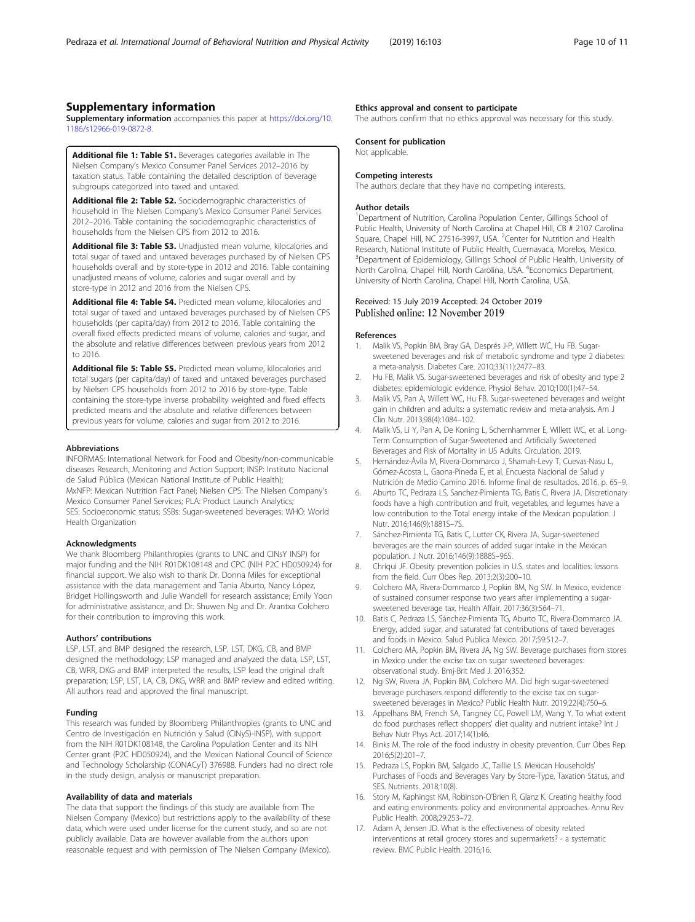# <span id="page-9-0"></span>Supplementary information

Supplementary information accompanies this paper at [https://doi.org/10.](https://doi.org/10.1186/s12966-019-0872-8) [1186/s12966-019-0872-8.](https://doi.org/10.1186/s12966-019-0872-8)

Additional file 1: Table S1. Beverages categories available in The Nielsen Company's Mexico Consumer Panel Services 2012–2016 by taxation status. Table containing the detailed description of beverage subgroups categorized into taxed and untaxed.

Additional file 2: Table S2. Sociodemographic characteristics of household in The Nielsen Company's Mexico Consumer Panel Services 2012–2016. Table containing the sociodemographic characteristics of households from the Nielsen CPS from 2012 to 2016.

Additional file 3: Table S3. Unadjusted mean volume, kilocalories and total sugar of taxed and untaxed beverages purchased by of Nielsen CPS households overall and by store-type in 2012 and 2016. Table containing unadjusted means of volume, calories and sugar overall and by store-type in 2012 and 2016 from the Nielsen CPS.

Additional file 4: Table S4. Predicted mean volume, kilocalories and total sugar of taxed and untaxed beverages purchased by of Nielsen CPS households (per capita/day) from 2012 to 2016. Table containing the overall fixed effects predicted means of volume, calories and sugar, and the absolute and relative differences between previous years from 2012 to 2016.

Additional file 5: Table S5. Predicted mean volume, kilocalories and total sugars (per capita/day) of taxed and untaxed beverages purchased by Nielsen CPS households from 2012 to 2016 by store-type. Table containing the store-type inverse probability weighted and fixed effects predicted means and the absolute and relative differences between previous years for volume, calories and sugar from 2012 to 2016.

#### Abbreviations

INFORMAS: International Network for Food and Obesity/non-communicable diseases Research, Monitoring and Action Support; INSP: Instituto Nacional de Salud Pública (Mexican National Institute of Public Health); MxNFP: Mexican Nutrition Fact Panel; Nielsen CPS: The Nielsen Company's Mexico Consumer Panel Services; PLA: Product Launch Analytics; SES: Socioeconomic status; SSBs: Sugar-sweetened beverages; WHO: World Health Organization

#### Acknowledgments

We thank Bloomberg Philanthropies (grants to UNC and CINsY INSP) for major funding and the NIH R01DK108148 and CPC (NIH P2C HD050924) for financial support. We also wish to thank Dr. Donna Miles for exceptional assistance with the data management and Tania Aburto, Nancy López, Bridget Hollingsworth and Julie Wandell for research assistance; Emily Yoon for administrative assistance, and Dr. Shuwen Ng and Dr. Arantxa Colchero for their contribution to improving this work.

### Authors' contributions

LSP, LST, and BMP designed the research, LSP, LST, DKG, CB, and BMP designed the methodology; LSP managed and analyzed the data, LSP, LST, CB, WRR, DKG and BMP interpreted the results, LSP lead the original draft preparation; LSP, LST, LA, CB, DKG, WRR and BMP review and edited writing. All authors read and approved the final manuscript.

#### Funding

This research was funded by Bloomberg Philanthropies (grants to UNC and Centro de Investigación en Nutrición y Salud (CINyS)-INSP), with support from the NIH R01DK108148, the Carolina Population Center and its NIH Center grant (P2C HD050924), and the Mexican National Council of Science and Technology Scholarship (CONACyT) 376988. Funders had no direct role in the study design, analysis or manuscript preparation.

#### Availability of data and materials

The data that support the findings of this study are available from The Nielsen Company (Mexico) but restrictions apply to the availability of these data, which were used under license for the current study, and so are not publicly available. Data are however available from the authors upon reasonable request and with permission of The Nielsen Company (Mexico).

# Ethics approval and consent to participate

The authors confirm that no ethics approval was necessary for this study.

#### Consent for publication

Not applicable.

# Competing interests

The authors declare that they have no competing interests.

#### Author details

<sup>1</sup>Department of Nutrition, Carolina Population Center, Gillings School of Public Health, University of North Carolina at Chapel Hill, CB # 2107 Carolina Square, Chapel Hill, NC 27516-3997, USA. <sup>2</sup>Center for Nutrition and Health Research, National Institute of Public Health, Cuernavaca, Morelos, Mexico. <sup>3</sup>Department of Epidemiology, Gillings School of Public Health, University of North Carolina, Chapel Hill, North Carolina, USA. <sup>4</sup>Economics Department, University of North Carolina, Chapel Hill, North Carolina, USA.

# Received: 15 July 2019 Accepted: 24 October 2019 Published online: 12 November 2019

### References

- 1. Malik VS, Popkin BM, Bray GA, Després J-P, Willett WC, Hu FB. Sugarsweetened beverages and risk of metabolic syndrome and type 2 diabetes: a meta-analysis. Diabetes Care. 2010;33(11):2477–83.
- 2. Hu FB, Malik VS. Sugar-sweetened beverages and risk of obesity and type 2 diabetes: epidemiologic evidence. Physiol Behav. 2010;100(1):47–54.
- 3. Malik VS, Pan A, Willett WC, Hu FB. Sugar-sweetened beverages and weight gain in children and adults: a systematic review and meta-analysis. Am J Clin Nutr. 2013;98(4):1084–102.
- 4. Malik VS, Li Y, Pan A, De Koning L, Schernhammer E, Willett WC, et al. Long-Term Consumption of Sugar-Sweetened and Artificially Sweetened Beverages and Risk of Mortality in US Adults. Circulation. 2019.
- 5. Hernández-Ávila M, Rivera-Dommarco J, Shamah-Levy T, Cuevas-Nasu L, Gómez-Acosta L, Gaona-Pineda E, et al. Encuesta Nacional de Salud y Nutrición de Medio Camino 2016. Informe final de resultados. 2016. p. 65–9.
- 6. Aburto TC, Pedraza LS, Sanchez-Pimienta TG, Batis C, Rivera JA. Discretionary foods have a high contribution and fruit, vegetables, and legumes have a low contribution to the Total energy intake of the Mexican population. J Nutr. 2016;146(9):1881S–7S.
- Sánchez-Pimienta TG, Batis C, Lutter CK, Rivera JA. Sugar-sweetened beverages are the main sources of added sugar intake in the Mexican population. J Nutr. 2016;146(9):1888S–96S.
- 8. Chriqui JF. Obesity prevention policies in U.S. states and localities: lessons from the field. Curr Obes Rep. 2013;2(3):200–10.
- 9. Colchero MA, Rivera-Dommarco J, Popkin BM, Ng SW. In Mexico, evidence of sustained consumer response two years after implementing a sugarsweetened beverage tax. Health Affair. 2017;36(3):564–71.
- 10. Batis C, Pedraza LS, Sánchez-Pimienta TG, Aburto TC, Rivera-Dommarco JA. Energy, added sugar, and saturated fat contributions of taxed beverages and foods in Mexico. Salud Publica Mexico. 2017;59:512–7.
- 11. Colchero MA, Popkin BM, Rivera JA, Ng SW. Beverage purchases from stores in Mexico under the excise tax on sugar sweetened beverages: observational study. Bmj-Brit Med J. 2016;352.
- 12. Ng SW, Rivera JA, Popkin BM, Colchero MA. Did high sugar-sweetened beverage purchasers respond differently to the excise tax on sugarsweetened beverages in Mexico? Public Health Nutr. 2019;22(4):750–6.
- 13. Appelhans BM, French SA, Tangney CC, Powell LM, Wang Y. To what extent do food purchases reflect shoppers' diet quality and nutrient intake? Int J Behav Nutr Phys Act. 2017;14(1):46.
- 14. Binks M. The role of the food industry in obesity prevention. Curr Obes Rep. 2016;5(2):201–7.
- 15. Pedraza LS, Popkin BM, Salgado JC, Taillie LS. Mexican Households' Purchases of Foods and Beverages Vary by Store-Type, Taxation Status, and SES. Nutrients. 2018;10(8).
- 16. Story M, Kaphingst KM, Robinson-O'Brien R, Glanz K. Creating healthy food and eating environments: policy and environmental approaches. Annu Rev Public Health. 2008;29:253–72.
- 17. Adam A, Jensen JD. What is the effectiveness of obesity related interventions at retail grocery stores and supermarkets? - a systematic review. BMC Public Health. 2016;16.